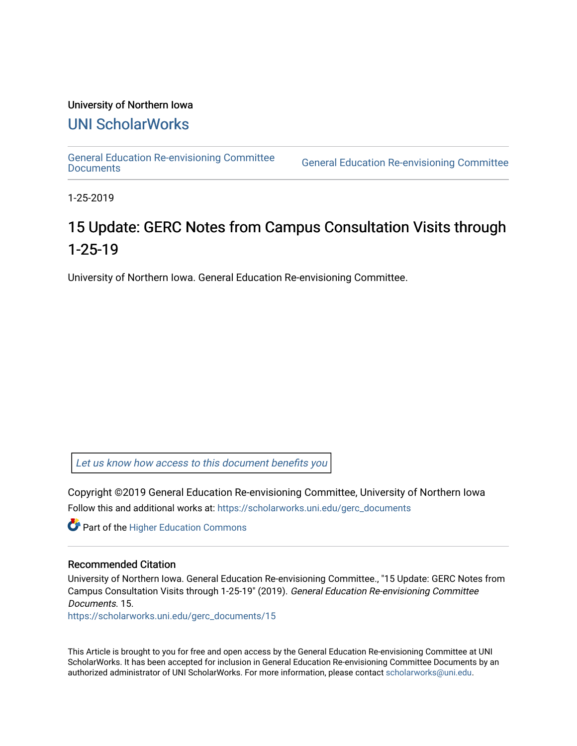#### University of Northern Iowa

# [UNI ScholarWorks](https://scholarworks.uni.edu/)

[General Education Re-envisioning Committee](https://scholarworks.uni.edu/gerc_documents) 

**General Education Re-envisioning Committee** 

1-25-2019

# 15 Update: GERC Notes from Campus Consultation Visits through 1-25-19

University of Northern Iowa. General Education Re-envisioning Committee.

[Let us know how access to this document benefits you](https://scholarworks.uni.edu/feedback_form.html) 

Copyright ©2019 General Education Re-envisioning Committee, University of Northern Iowa Follow this and additional works at: [https://scholarworks.uni.edu/gerc\\_documents](https://scholarworks.uni.edu/gerc_documents?utm_source=scholarworks.uni.edu%2Fgerc_documents%2F15&utm_medium=PDF&utm_campaign=PDFCoverPages)

**Part of the Higher Education Commons** 

#### Recommended Citation

University of Northern Iowa. General Education Re-envisioning Committee., "15 Update: GERC Notes from Campus Consultation Visits through 1-25-19" (2019). General Education Re-envisioning Committee Documents. 15.

[https://scholarworks.uni.edu/gerc\\_documents/15](https://scholarworks.uni.edu/gerc_documents/15?utm_source=scholarworks.uni.edu%2Fgerc_documents%2F15&utm_medium=PDF&utm_campaign=PDFCoverPages) 

This Article is brought to you for free and open access by the General Education Re-envisioning Committee at UNI ScholarWorks. It has been accepted for inclusion in General Education Re-envisioning Committee Documents by an authorized administrator of UNI ScholarWorks. For more information, please contact [scholarworks@uni.edu.](mailto:scholarworks@uni.edu)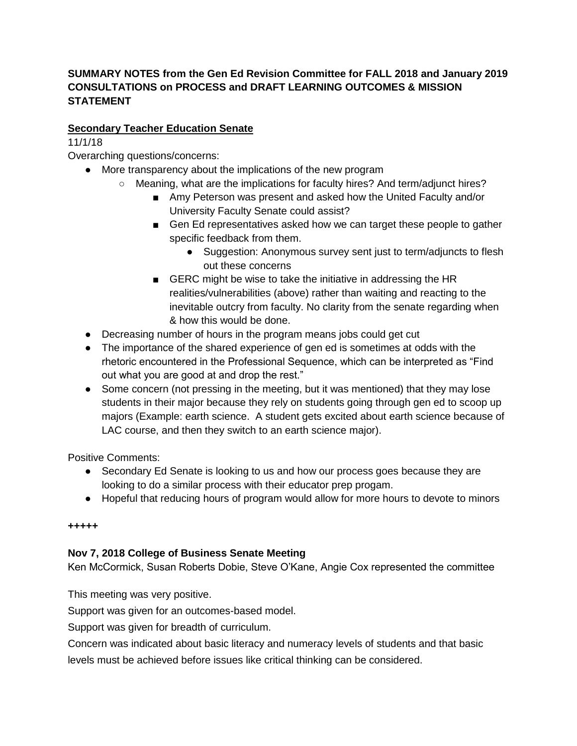# **SUMMARY NOTES from the Gen Ed Revision Committee for FALL 2018 and January 2019 CONSULTATIONS on PROCESS and DRAFT LEARNING OUTCOMES & MISSION STATEMENT**

# **Secondary Teacher Education Senate**

# 11/1/18

Overarching questions/concerns:

- More transparency about the implications of the new program
	- Meaning, what are the implications for faculty hires? And term/adiunct hires?
		- Amy Peterson was present and asked how the United Faculty and/or University Faculty Senate could assist?
		- Gen Ed representatives asked how we can target these people to gather specific feedback from them.
			- Suggestion: Anonymous survey sent just to term/adjuncts to flesh out these concerns
		- GERC might be wise to take the initiative in addressing the HR realities/vulnerabilities (above) rather than waiting and reacting to the inevitable outcry from faculty. No clarity from the senate regarding when & how this would be done.
- Decreasing number of hours in the program means jobs could get cut
- The importance of the shared experience of gen ed is sometimes at odds with the rhetoric encountered in the Professional Sequence, which can be interpreted as "Find out what you are good at and drop the rest."
- Some concern (not pressing in the meeting, but it was mentioned) that they may lose students in their major because they rely on students going through gen ed to scoop up majors (Example: earth science. A student gets excited about earth science because of LAC course, and then they switch to an earth science major).

Positive Comments:

- Secondary Ed Senate is looking to us and how our process goes because they are looking to do a similar process with their educator prep progam.
- Hopeful that reducing hours of program would allow for more hours to devote to minors

## **+++++**

# **Nov 7, 2018 College of Business Senate Meeting**

Ken McCormick, Susan Roberts Dobie, Steve O'Kane, Angie Cox represented the committee

This meeting was very positive.

Support was given for an outcomes-based model.

Support was given for breadth of curriculum.

Concern was indicated about basic literacy and numeracy levels of students and that basic

levels must be achieved before issues like critical thinking can be considered.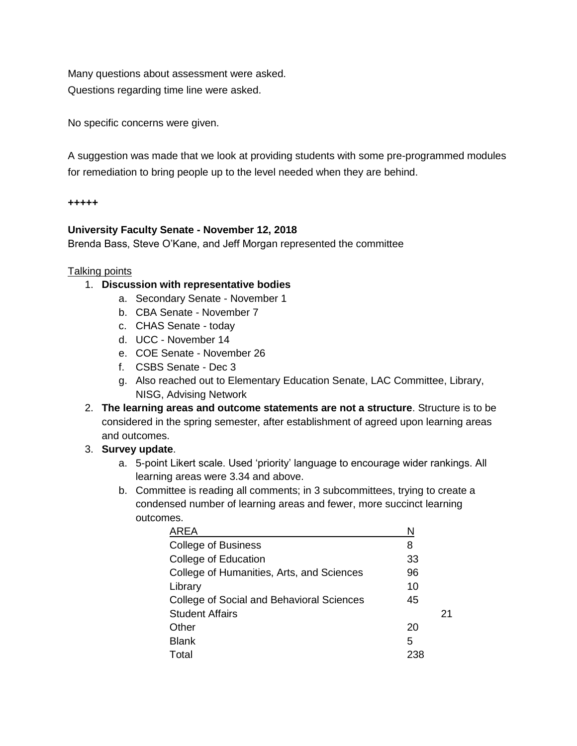Many questions about assessment were asked. Questions regarding time line were asked.

No specific concerns were given.

A suggestion was made that we look at providing students with some pre-programmed modules for remediation to bring people up to the level needed when they are behind.

#### **+++++**

## **University Faculty Senate - November 12, 2018**

Brenda Bass, Steve O'Kane, and Jeff Morgan represented the committee

## Talking points

# 1. **Discussion with representative bodies**

- a. Secondary Senate November 1
- b. CBA Senate November 7
- c. CHAS Senate today
- d. UCC November 14
- e. COE Senate November 26
- f. CSBS Senate Dec 3
- g. Also reached out to Elementary Education Senate, LAC Committee, Library, NISG, Advising Network
- 2. **The learning areas and outcome statements are not a structure**. Structure is to be considered in the spring semester, after establishment of agreed upon learning areas and outcomes.

# 3. **Survey update**.

- a. 5-point Likert scale. Used 'priority' language to encourage wider rankings. All learning areas were 3.34 and above.
- b. Committee is reading all comments; in 3 subcommittees, trying to create a condensed number of learning areas and fewer, more succinct learning outcomes.

| AREA                                      | N   |    |
|-------------------------------------------|-----|----|
| <b>College of Business</b>                | 8   |    |
| College of Education                      | 33  |    |
| College of Humanities, Arts, and Sciences | 96  |    |
| Library                                   | 10  |    |
| College of Social and Behavioral Sciences | 45  |    |
| <b>Student Affairs</b>                    |     | 21 |
| Other                                     | 20  |    |
| <b>Blank</b>                              | 5   |    |
| Total                                     | 238 |    |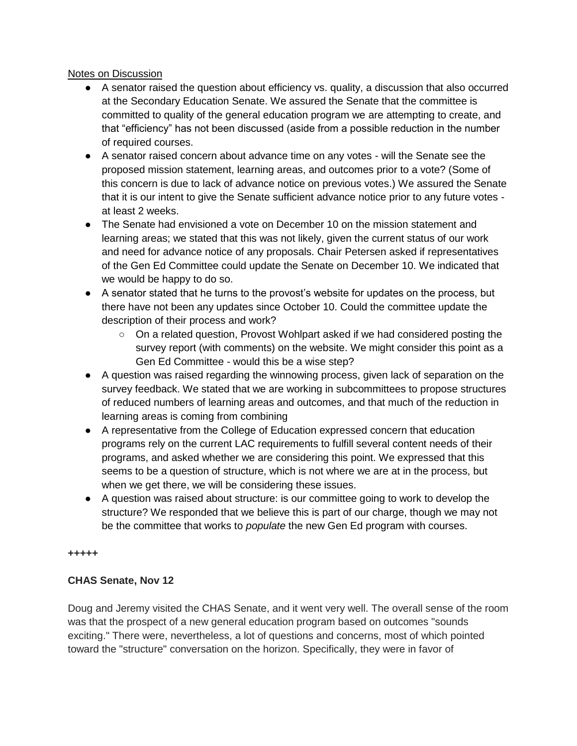## Notes on Discussion

- A senator raised the question about efficiency vs. quality, a discussion that also occurred at the Secondary Education Senate. We assured the Senate that the committee is committed to quality of the general education program we are attempting to create, and that "efficiency" has not been discussed (aside from a possible reduction in the number of required courses.
- A senator raised concern about advance time on any votes will the Senate see the proposed mission statement, learning areas, and outcomes prior to a vote? (Some of this concern is due to lack of advance notice on previous votes.) We assured the Senate that it is our intent to give the Senate sufficient advance notice prior to any future votes at least 2 weeks.
- The Senate had envisioned a vote on December 10 on the mission statement and learning areas; we stated that this was not likely, given the current status of our work and need for advance notice of any proposals. Chair Petersen asked if representatives of the Gen Ed Committee could update the Senate on December 10. We indicated that we would be happy to do so.
- A senator stated that he turns to the provost's website for updates on the process, but there have not been any updates since October 10. Could the committee update the description of their process and work?
	- On a related question, Provost Wohlpart asked if we had considered posting the survey report (with comments) on the website. We might consider this point as a Gen Ed Committee - would this be a wise step?
- A question was raised regarding the winnowing process, given lack of separation on the survey feedback. We stated that we are working in subcommittees to propose structures of reduced numbers of learning areas and outcomes, and that much of the reduction in learning areas is coming from combining
- A representative from the College of Education expressed concern that education programs rely on the current LAC requirements to fulfill several content needs of their programs, and asked whether we are considering this point. We expressed that this seems to be a question of structure, which is not where we are at in the process, but when we get there, we will be considering these issues.
- A question was raised about structure: is our committee going to work to develop the structure? We responded that we believe this is part of our charge, though we may not be the committee that works to *populate* the new Gen Ed program with courses.

## **+++++**

# **CHAS Senate, Nov 12**

Doug and Jeremy visited the CHAS Senate, and it went very well. The overall sense of the room was that the prospect of a new general education program based on outcomes "sounds exciting." There were, nevertheless, a lot of questions and concerns, most of which pointed toward the "structure" conversation on the horizon. Specifically, they were in favor of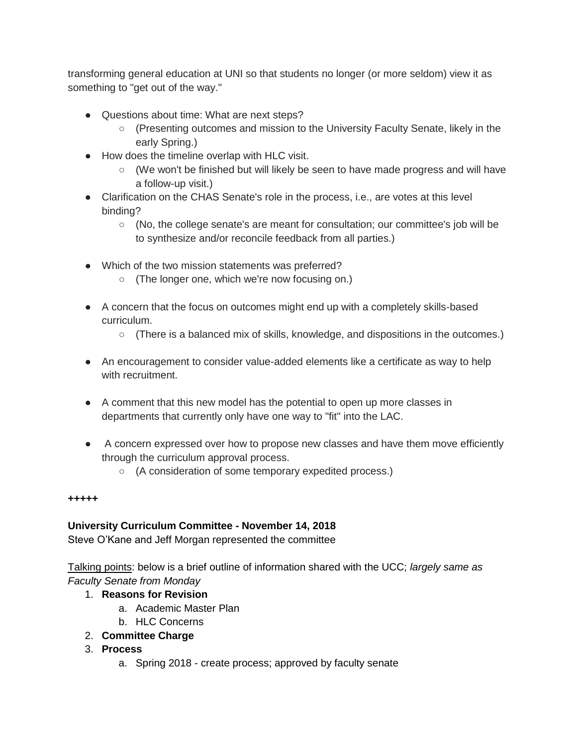transforming general education at UNI so that students no longer (or more seldom) view it as something to "get out of the way."

- Questions about time: What are next steps?
	- (Presenting outcomes and mission to the University Faculty Senate, likely in the early Spring.)
- How does the timeline overlap with HLC visit.
	- $\circ$  (We won't be finished but will likely be seen to have made progress and will have a follow-up visit.)
- Clarification on the CHAS Senate's role in the process, i.e., are votes at this level binding?
	- (No, the college senate's are meant for consultation; our committee's job will be to synthesize and/or reconcile feedback from all parties.)
- Which of the two mission statements was preferred?
	- (The longer one, which we're now focusing on.)
- A concern that the focus on outcomes might end up with a completely skills-based curriculum.
	- $\circ$  (There is a balanced mix of skills, knowledge, and dispositions in the outcomes.)
- An encouragement to consider value-added elements like a certificate as way to help with recruitment.
- A comment that this new model has the potential to open up more classes in departments that currently only have one way to "fit" into the LAC.
- A concern expressed over how to propose new classes and have them move efficiently through the curriculum approval process.
	- (A consideration of some temporary expedited process.)

# **+++++**

# **University Curriculum Committee - November 14, 2018**

Steve O'Kane and Jeff Morgan represented the committee

Talking points: below is a brief outline of information shared with the UCC; *largely same as Faculty Senate from Monday*

# 1. **Reasons for Revision**

- a. Academic Master Plan
- b. HLC Concerns
- 2. **Committee Charge**

# 3. **Process**

a. Spring 2018 - create process; approved by faculty senate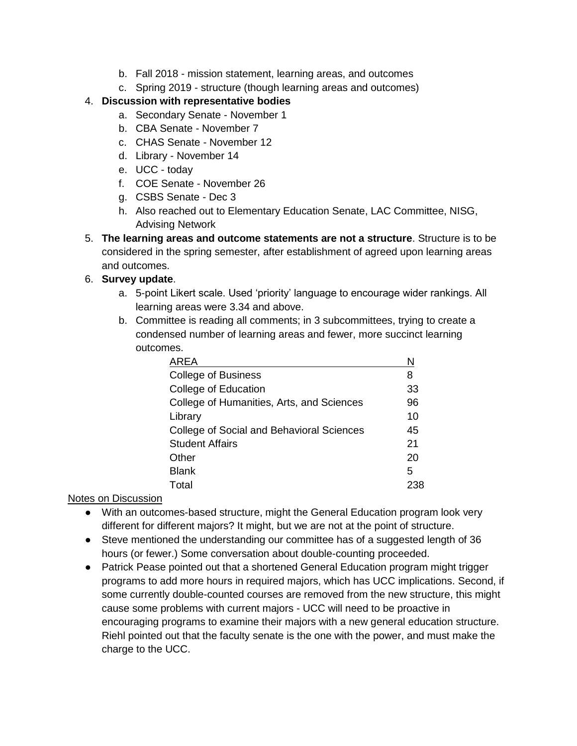- b. Fall 2018 mission statement, learning areas, and outcomes
- c. Spring 2019 structure (though learning areas and outcomes)

# 4. **Discussion with representative bodies**

- a. Secondary Senate November 1
- b. CBA Senate November 7
- c. CHAS Senate November 12
- d. Library November 14
- e. UCC today
- f. COE Senate November 26
- g. CSBS Senate Dec 3
- h. Also reached out to Elementary Education Senate, LAC Committee, NISG, Advising Network
- 5. **The learning areas and outcome statements are not a structure**. Structure is to be considered in the spring semester, after establishment of agreed upon learning areas and outcomes.

# 6. **Survey update**.

- a. 5-point Likert scale. Used 'priority' language to encourage wider rankings. All learning areas were 3.34 and above.
- b. Committee is reading all comments; in 3 subcommittees, trying to create a condensed number of learning areas and fewer, more succinct learning outcomes.

| <b>AREA</b>                               | N  |
|-------------------------------------------|----|
| <b>College of Business</b>                | 8  |
| College of Education                      | 33 |
| College of Humanities, Arts, and Sciences | 96 |
| Library                                   | 10 |
| College of Social and Behavioral Sciences | 45 |
| <b>Student Affairs</b>                    | 21 |
| Other                                     | 20 |
| <b>Blank</b>                              | 5  |
| Total                                     |    |

# Notes on Discussion

- With an outcomes-based structure, might the General Education program look very different for different majors? It might, but we are not at the point of structure.
- Steve mentioned the understanding our committee has of a suggested length of 36 hours (or fewer.) Some conversation about double-counting proceeded.
- Patrick Pease pointed out that a shortened General Education program might trigger programs to add more hours in required majors, which has UCC implications. Second, if some currently double-counted courses are removed from the new structure, this might cause some problems with current majors - UCC will need to be proactive in encouraging programs to examine their majors with a new general education structure. Riehl pointed out that the faculty senate is the one with the power, and must make the charge to the UCC.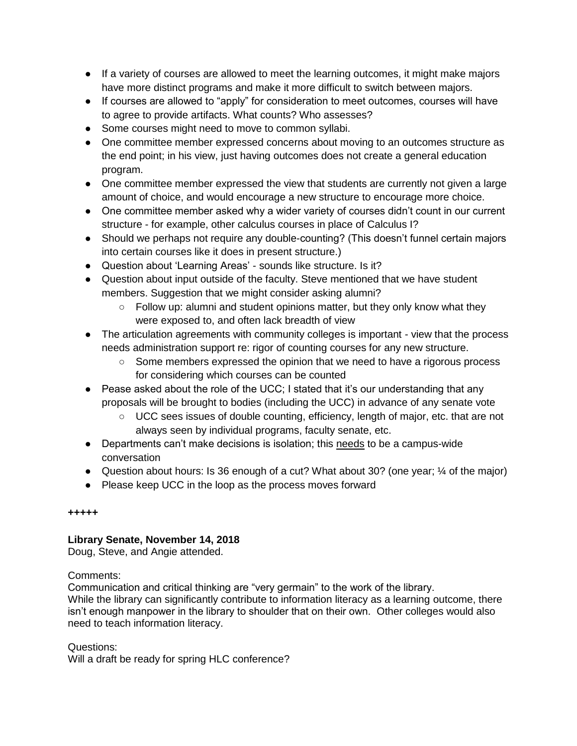- If a variety of courses are allowed to meet the learning outcomes, it might make majors have more distinct programs and make it more difficult to switch between majors.
- If courses are allowed to "apply" for consideration to meet outcomes, courses will have to agree to provide artifacts. What counts? Who assesses?
- Some courses might need to move to common syllabi.
- One committee member expressed concerns about moving to an outcomes structure as the end point; in his view, just having outcomes does not create a general education program.
- One committee member expressed the view that students are currently not given a large amount of choice, and would encourage a new structure to encourage more choice.
- One committee member asked why a wider variety of courses didn't count in our current structure - for example, other calculus courses in place of Calculus I?
- Should we perhaps not require any double-counting? (This doesn't funnel certain majors into certain courses like it does in present structure.)
- Question about 'Learning Areas' sounds like structure. Is it?
- Question about input outside of the faculty. Steve mentioned that we have student members. Suggestion that we might consider asking alumni?
	- $\circ$  Follow up: alumni and student opinions matter, but they only know what they were exposed to, and often lack breadth of view
- The articulation agreements with community colleges is important view that the process needs administration support re: rigor of counting courses for any new structure.
	- Some members expressed the opinion that we need to have a rigorous process for considering which courses can be counted
- Pease asked about the role of the UCC; I stated that it's our understanding that any proposals will be brought to bodies (including the UCC) in advance of any senate vote
	- UCC sees issues of double counting, efficiency, length of major, etc. that are not always seen by individual programs, faculty senate, etc.
- Departments can't make decisions is isolation; this needs to be a campus-wide conversation
- Question about hours: Is 36 enough of a cut? What about 30? (one year; ¼ of the major)
- Please keep UCC in the loop as the process moves forward

# **Library Senate, November 14, 2018**

Doug, Steve, and Angie attended.

## Comments:

Communication and critical thinking are "very germain" to the work of the library. While the library can significantly contribute to information literacy as a learning outcome, there isn't enough manpower in the library to shoulder that on their own. Other colleges would also need to teach information literacy.

Questions: Will a draft be ready for spring HLC conference?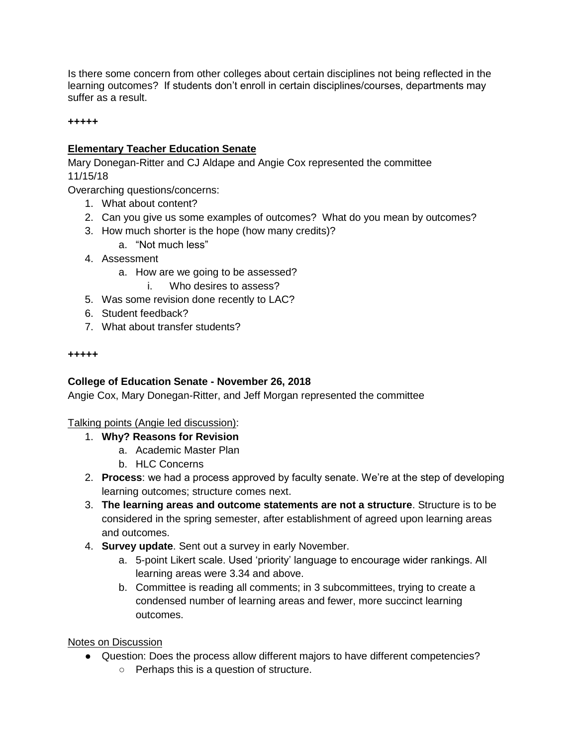Is there some concern from other colleges about certain disciplines not being reflected in the learning outcomes? If students don't enroll in certain disciplines/courses, departments may suffer as a result.

#### **+++++**

## **Elementary Teacher Education Senate**

Mary Donegan-Ritter and CJ Aldape and Angie Cox represented the committee 11/15/18

Overarching questions/concerns:

- 1. What about content?
- 2. Can you give us some examples of outcomes? What do you mean by outcomes?
- 3. How much shorter is the hope (how many credits)?
	- a. "Not much less"
- 4. Assessment
	- a. How are we going to be assessed?
		- i. Who desires to assess?
- 5. Was some revision done recently to LAC?
- 6. Student feedback?
- 7. What about transfer students?

#### **+++++**

## **College of Education Senate - November 26, 2018**

Angie Cox, Mary Donegan-Ritter, and Jeff Morgan represented the committee

## Talking points (Angie led discussion):

- 1. **Why? Reasons for Revision**
	- a. Academic Master Plan
	- b. HLC Concerns
- 2. **Process**: we had a process approved by faculty senate. We're at the step of developing learning outcomes; structure comes next.
- 3. **The learning areas and outcome statements are not a structure**. Structure is to be considered in the spring semester, after establishment of agreed upon learning areas and outcomes.
- 4. **Survey update**. Sent out a survey in early November.
	- a. 5-point Likert scale. Used 'priority' language to encourage wider rankings. All learning areas were 3.34 and above.
	- b. Committee is reading all comments; in 3 subcommittees, trying to create a condensed number of learning areas and fewer, more succinct learning outcomes.

## Notes on Discussion

- Question: Does the process allow different majors to have different competencies?
	- Perhaps this is a question of structure.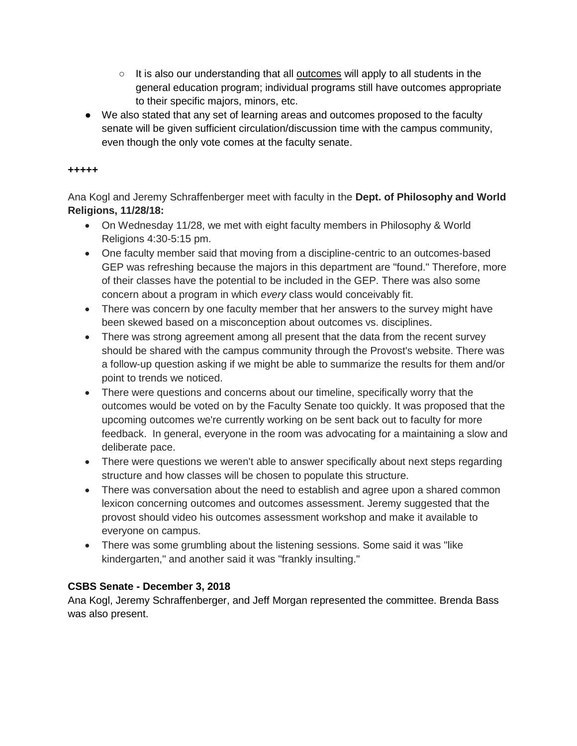- $\circ$  It is also our understanding that all outcomes will apply to all students in the general education program; individual programs still have outcomes appropriate to their specific majors, minors, etc.
- We also stated that any set of learning areas and outcomes proposed to the faculty senate will be given sufficient circulation/discussion time with the campus community, even though the only vote comes at the faculty senate.

Ana Kogl and Jeremy Schraffenberger meet with faculty in the **Dept. of Philosophy and World Religions, 11/28/18:**

- On Wednesday 11/28, we met with eight faculty members in Philosophy & World Religions 4:30-5:15 pm.
- One faculty member said that moving from a discipline-centric to an outcomes-based GEP was refreshing because the majors in this department are "found." Therefore, more of their classes have the potential to be included in the GEP. There was also some concern about a program in which *every* class would conceivably fit.
- There was concern by one faculty member that her answers to the survey might have been skewed based on a misconception about outcomes vs. disciplines.
- There was strong agreement among all present that the data from the recent survey should be shared with the campus community through the Provost's website. There was a follow-up question asking if we might be able to summarize the results for them and/or point to trends we noticed.
- There were questions and concerns about our timeline, specifically worry that the outcomes would be voted on by the Faculty Senate too quickly. It was proposed that the upcoming outcomes we're currently working on be sent back out to faculty for more feedback. In general, everyone in the room was advocating for a maintaining a slow and deliberate pace.
- There were questions we weren't able to answer specifically about next steps regarding structure and how classes will be chosen to populate this structure.
- There was conversation about the need to establish and agree upon a shared common lexicon concerning outcomes and outcomes assessment. Jeremy suggested that the provost should video his outcomes assessment workshop and make it available to everyone on campus.
- There was some grumbling about the listening sessions. Some said it was "like kindergarten," and another said it was "frankly insulting."

# **CSBS Senate - December 3, 2018**

Ana Kogl, Jeremy Schraffenberger, and Jeff Morgan represented the committee. Brenda Bass was also present.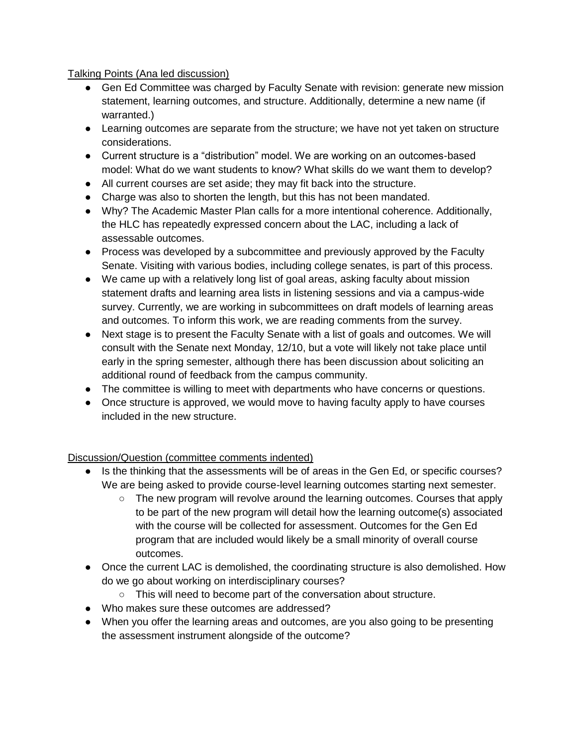## Talking Points (Ana led discussion)

- Gen Ed Committee was charged by Faculty Senate with revision: generate new mission statement, learning outcomes, and structure. Additionally, determine a new name (if warranted.)
- Learning outcomes are separate from the structure; we have not yet taken on structure considerations.
- Current structure is a "distribution" model. We are working on an outcomes-based model: What do we want students to know? What skills do we want them to develop?
- All current courses are set aside; they may fit back into the structure.
- Charge was also to shorten the length, but this has not been mandated.
- Why? The Academic Master Plan calls for a more intentional coherence. Additionally, the HLC has repeatedly expressed concern about the LAC, including a lack of assessable outcomes.
- Process was developed by a subcommittee and previously approved by the Faculty Senate. Visiting with various bodies, including college senates, is part of this process.
- We came up with a relatively long list of goal areas, asking faculty about mission statement drafts and learning area lists in listening sessions and via a campus-wide survey. Currently, we are working in subcommittees on draft models of learning areas and outcomes. To inform this work, we are reading comments from the survey.
- Next stage is to present the Faculty Senate with a list of goals and outcomes. We will consult with the Senate next Monday, 12/10, but a vote will likely not take place until early in the spring semester, although there has been discussion about soliciting an additional round of feedback from the campus community.
- The committee is willing to meet with departments who have concerns or questions.
- Once structure is approved, we would move to having faculty apply to have courses included in the new structure.

# Discussion/Question (committee comments indented)

- Is the thinking that the assessments will be of areas in the Gen Ed, or specific courses? We are being asked to provide course-level learning outcomes starting next semester.
	- The new program will revolve around the learning outcomes. Courses that apply to be part of the new program will detail how the learning outcome(s) associated with the course will be collected for assessment. Outcomes for the Gen Ed program that are included would likely be a small minority of overall course outcomes.
- Once the current LAC is demolished, the coordinating structure is also demolished. How do we go about working on interdisciplinary courses?
	- This will need to become part of the conversation about structure.
- Who makes sure these outcomes are addressed?
- When you offer the learning areas and outcomes, are you also going to be presenting the assessment instrument alongside of the outcome?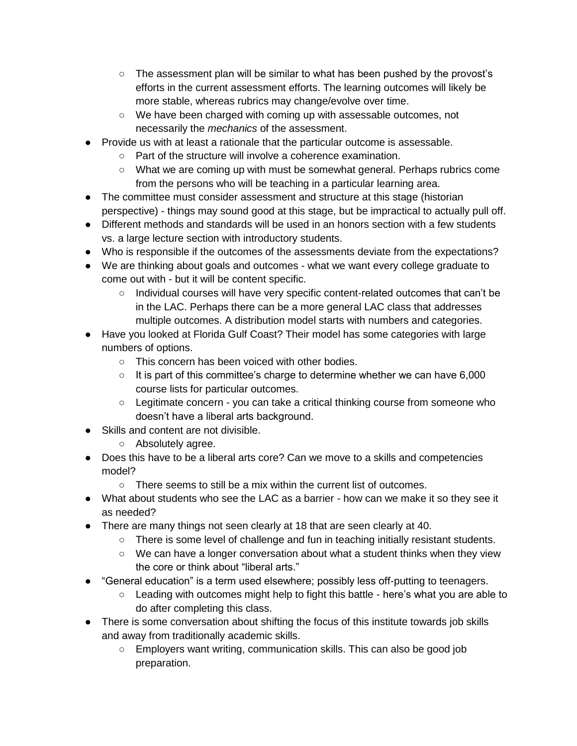- The assessment plan will be similar to what has been pushed by the provost's efforts in the current assessment efforts. The learning outcomes will likely be more stable, whereas rubrics may change/evolve over time.
- We have been charged with coming up with assessable outcomes, not necessarily the *mechanics* of the assessment.
- Provide us with at least a rationale that the particular outcome is assessable.
	- Part of the structure will involve a coherence examination.
	- What we are coming up with must be somewhat general. Perhaps rubrics come from the persons who will be teaching in a particular learning area.
- The committee must consider assessment and structure at this stage (historian perspective) - things may sound good at this stage, but be impractical to actually pull off.
- Different methods and standards will be used in an honors section with a few students vs. a large lecture section with introductory students.
- Who is responsible if the outcomes of the assessments deviate from the expectations?
- We are thinking about goals and outcomes what we want every college graduate to come out with - but it will be content specific.
	- Individual courses will have very specific content-related outcomes that can't be in the LAC. Perhaps there can be a more general LAC class that addresses multiple outcomes. A distribution model starts with numbers and categories.
- Have you looked at Florida Gulf Coast? Their model has some categories with large numbers of options.
	- This concern has been voiced with other bodies.
	- $\circ$  It is part of this committee's charge to determine whether we can have 6,000 course lists for particular outcomes.
	- Legitimate concern you can take a critical thinking course from someone who doesn't have a liberal arts background.
- Skills and content are not divisible.
	- Absolutely agree.
- Does this have to be a liberal arts core? Can we move to a skills and competencies model?
	- $\circ$  There seems to still be a mix within the current list of outcomes.
- What about students who see the LAC as a barrier how can we make it so they see it as needed?
- There are many things not seen clearly at 18 that are seen clearly at 40.
	- There is some level of challenge and fun in teaching initially resistant students.
	- We can have a longer conversation about what a student thinks when they view the core or think about "liberal arts."
- "General education" is a term used elsewhere; possibly less off-putting to teenagers.
	- Leading with outcomes might help to fight this battle here's what you are able to do after completing this class.
- There is some conversation about shifting the focus of this institute towards job skills and away from traditionally academic skills.
	- Employers want writing, communication skills. This can also be good job preparation.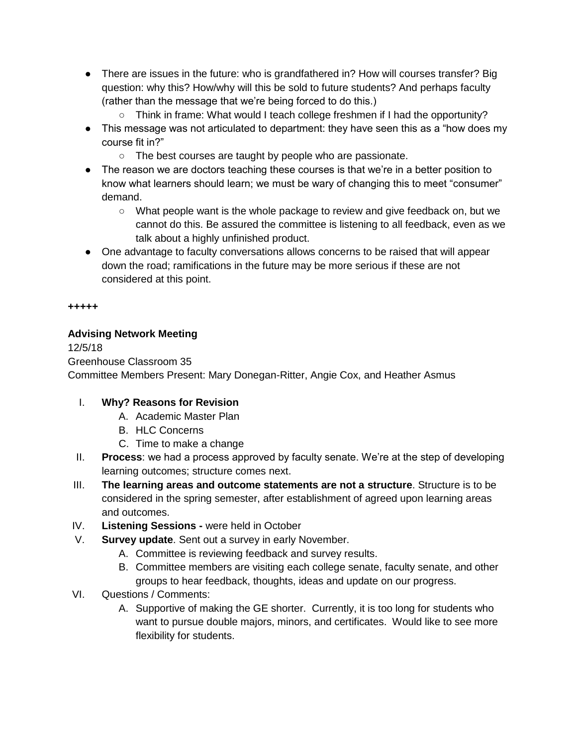- There are issues in the future: who is grandfathered in? How will courses transfer? Big question: why this? How/why will this be sold to future students? And perhaps faculty (rather than the message that we're being forced to do this.)
	- Think in frame: What would I teach college freshmen if I had the opportunity?
- This message was not articulated to department: they have seen this as a "how does my course fit in?"
	- The best courses are taught by people who are passionate.
- The reason we are doctors teaching these courses is that we're in a better position to know what learners should learn; we must be wary of changing this to meet "consumer" demand.
	- What people want is the whole package to review and give feedback on, but we cannot do this. Be assured the committee is listening to all feedback, even as we talk about a highly unfinished product.
- One advantage to faculty conversations allows concerns to be raised that will appear down the road; ramifications in the future may be more serious if these are not considered at this point.

# **Advising Network Meeting**

12/5/18 Greenhouse Classroom 35 Committee Members Present: Mary Donegan-Ritter, Angie Cox, and Heather Asmus

# I. **Why? Reasons for Revision**

- A. Academic Master Plan
- B. HLC Concerns
- C. Time to make a change
- II. **Process**: we had a process approved by faculty senate. We're at the step of developing learning outcomes; structure comes next.
- III. **The learning areas and outcome statements are not a structure**. Structure is to be considered in the spring semester, after establishment of agreed upon learning areas and outcomes.
- IV. **Listening Sessions -** were held in October
- V. **Survey update**. Sent out a survey in early November.
	- A. Committee is reviewing feedback and survey results.
	- B. Committee members are visiting each college senate, faculty senate, and other groups to hear feedback, thoughts, ideas and update on our progress.
- VI. Questions / Comments:
	- A. Supportive of making the GE shorter. Currently, it is too long for students who want to pursue double majors, minors, and certificates. Would like to see more flexibility for students.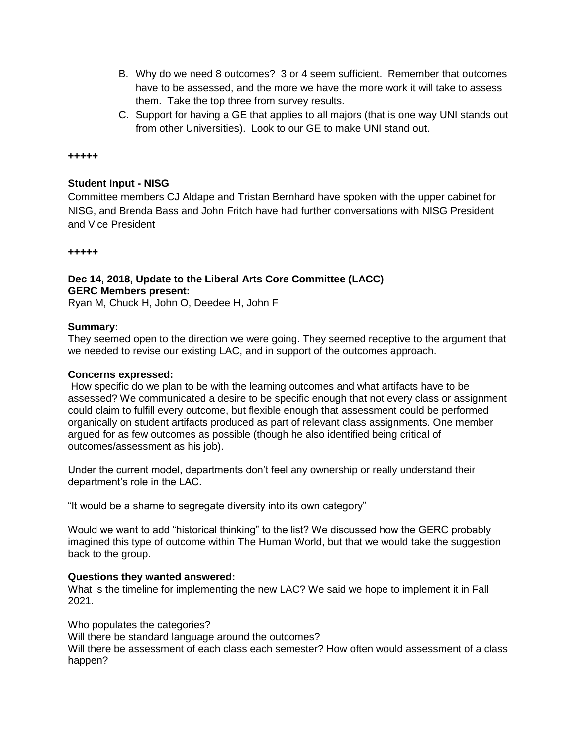- B. Why do we need 8 outcomes? 3 or 4 seem sufficient. Remember that outcomes have to be assessed, and the more we have the more work it will take to assess them. Take the top three from survey results.
- C. Support for having a GE that applies to all majors (that is one way UNI stands out from other Universities). Look to our GE to make UNI stand out.

#### **Student Input - NISG**

Committee members CJ Aldape and Tristan Bernhard have spoken with the upper cabinet for NISG, and Brenda Bass and John Fritch have had further conversations with NISG President and Vice President

#### **+++++**

# **Dec 14, 2018, Update to the Liberal Arts Core Committee (LACC) GERC Members present:**

Ryan M, Chuck H, John O, Deedee H, John F

#### **Summary:**

They seemed open to the direction we were going. They seemed receptive to the argument that we needed to revise our existing LAC, and in support of the outcomes approach.

#### **Concerns expressed:**

How specific do we plan to be with the learning outcomes and what artifacts have to be assessed? We communicated a desire to be specific enough that not every class or assignment could claim to fulfill every outcome, but flexible enough that assessment could be performed organically on student artifacts produced as part of relevant class assignments. One member argued for as few outcomes as possible (though he also identified being critical of outcomes/assessment as his job).

Under the current model, departments don't feel any ownership or really understand their department's role in the LAC.

"It would be a shame to segregate diversity into its own category"

Would we want to add "historical thinking" to the list? We discussed how the GERC probably imagined this type of outcome within The Human World, but that we would take the suggestion back to the group.

## **Questions they wanted answered:**

What is the timeline for implementing the new LAC? We said we hope to implement it in Fall 2021.

Who populates the categories?

Will there be standard language around the outcomes?

Will there be assessment of each class each semester? How often would assessment of a class happen?